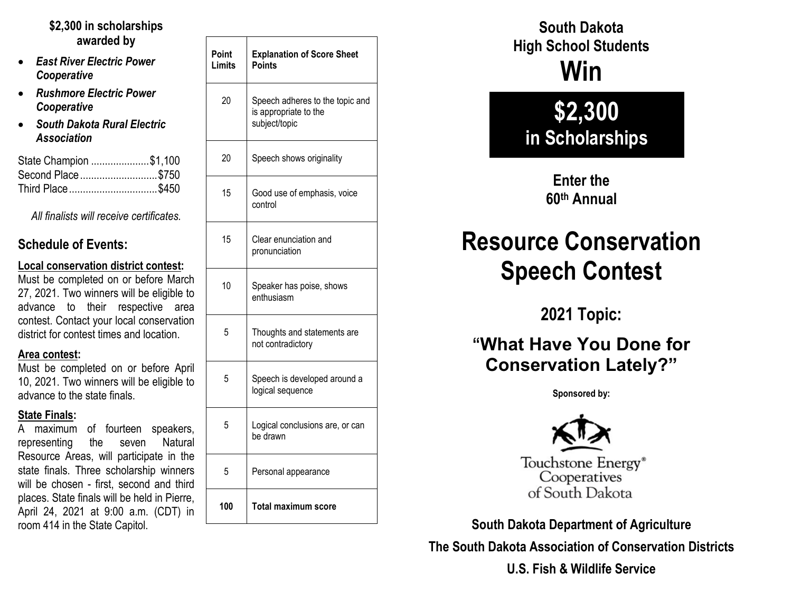#### **\$2,300 in scholarships awarded by**

- *East River Electric Power Cooperative*
- *Rushmore Electric Power Cooperative*
- *South Dakota Rural Electric Association*

| State Champion \$1,100 |  |
|------------------------|--|
| Second Place\$750      |  |
| Third Place\$450       |  |

*All finalists will receive certificates.*

#### **Schedule of Events:**

#### **Local conservation district contest:**

Must be completed on or before March 27, 2021. Two winners will be eligible to advance to their respective area contest. Contact your local conservation district for contest times and location.

#### **Area contest:**

Must be completed on or before April 10, 2021. Two winners will be eligible to advance to the state finals.

#### **State Finals:**

A maximum of fourteen speakers, representing the seven Natural Resource Areas, will participate in the state finals. Three scholarship winners will be chosen - first, second and third places. State finals will be held in Pierre, April 24, 2021 at 9:00 a.m. (CDT) in room 414 in the State Capitol.

| Point<br>Limits | <b>Explanation of Score Sheet</b><br><b>Points</b>                        |
|-----------------|---------------------------------------------------------------------------|
| 20              | Speech adheres to the topic and<br>is appropriate to the<br>subject/topic |
| 20              | Speech shows originality                                                  |
| 15              | Good use of emphasis, voice<br>control                                    |
| 15              | Clear enunciation and<br>pronunciation                                    |
| 10              | Speaker has poise, shows<br>enthusiasm                                    |
| 5               | Thoughts and statements are<br>not contradictory                          |
| 5               | Speech is developed around a<br>logical sequence                          |
| 5               | Logical conclusions are, or can<br>be drawn                               |
| 5               | Personal appearance                                                       |
| 100             | <b>Total maximum score</b>                                                |

**South Dakota High School Students Win**

## **\$2,300 in Scholarships**

**Enter the 60th Annual**

# **Resource Conservation Speech Contest**

**2021 Topic:**

### **"What Have You Done for Conservation Lately?"**

**Sponsored by:**



Touchstone Energy<sup>®</sup> Cooperatives of South Dakota

**South Dakota Department of Agriculture**

**The South Dakota Association of Conservation Districts**

**U.S. Fish & Wildlife Service**